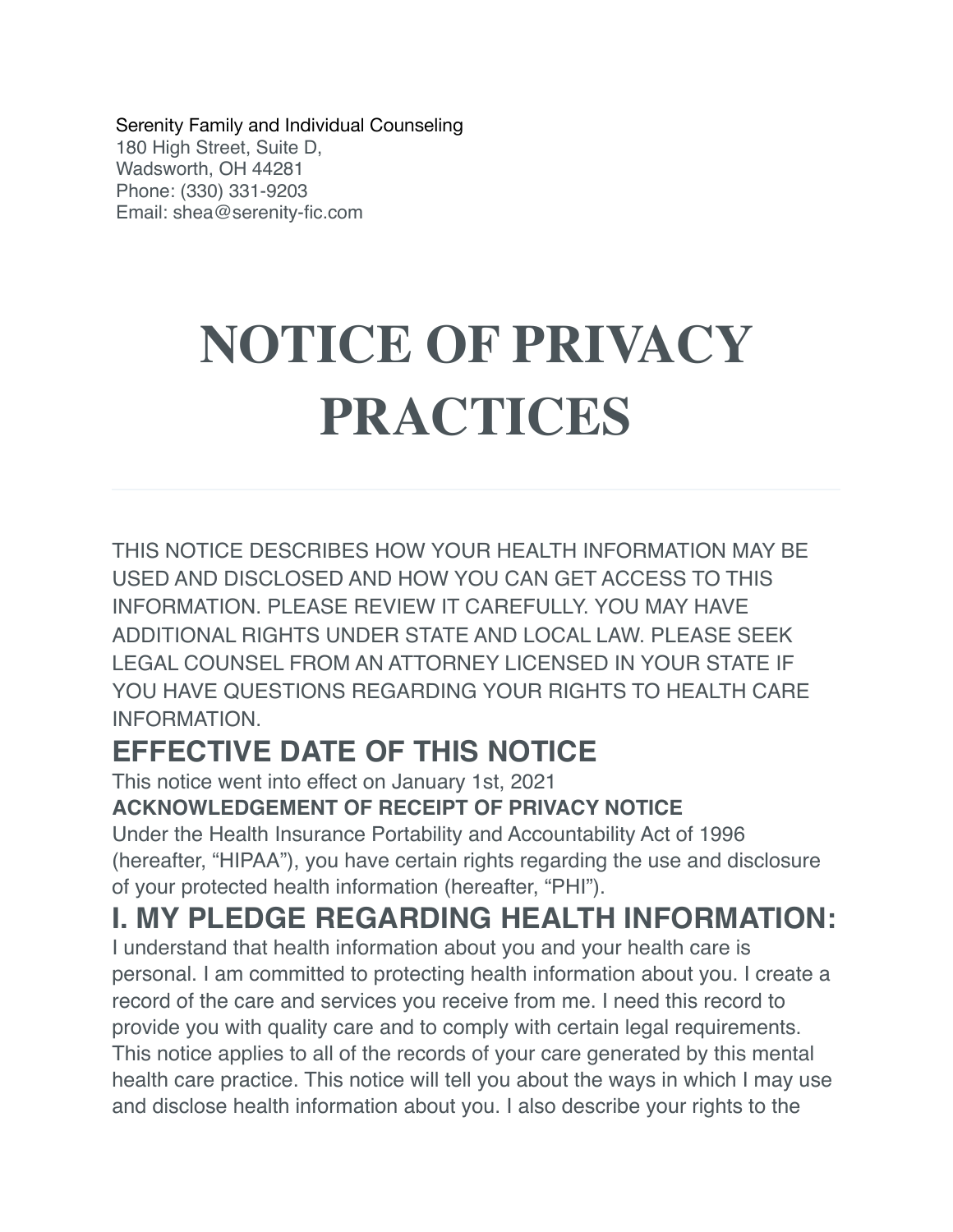Serenity Family and Individual Counseling 180 High Street, Suite D, Wadsworth, OH 44281 Phone: (330) 331-9203 Email: shea@serenity-fic.com

# **NOTICE OF PRIVACY PRACTICES**

THIS NOTICE DESCRIBES HOW YOUR HEALTH INFORMATION MAY BE USED AND DISCLOSED AND HOW YOU CAN GET ACCESS TO THIS INFORMATION. PLEASE REVIEW IT CAREFULLY. YOU MAY HAVE ADDITIONAL RIGHTS UNDER STATE AND LOCAL LAW. PLEASE SEEK LEGAL COUNSEL FROM AN ATTORNEY LICENSED IN YOUR STATE IF YOU HAVE QUESTIONS REGARDING YOUR RIGHTS TO HEALTH CARE INFORMATION.

## **EFFECTIVE DATE OF THIS NOTICE**

This notice went into effect on January 1st, 2021

#### **ACKNOWLEDGEMENT OF RECEIPT OF PRIVACY NOTICE**

Under the Health Insurance Portability and Accountability Act of 1996 (hereafter, "HIPAA"), you have certain rights regarding the use and disclosure of your protected health information (hereafter, "PHI").

#### **I. MY PLEDGE REGARDING HEALTH INFORMATION:**

I understand that health information about you and your health care is personal. I am committed to protecting health information about you. I create a record of the care and services you receive from me. I need this record to provide you with quality care and to comply with certain legal requirements. This notice applies to all of the records of your care generated by this mental health care practice. This notice will tell you about the ways in which I may use and disclose health information about you. I also describe your rights to the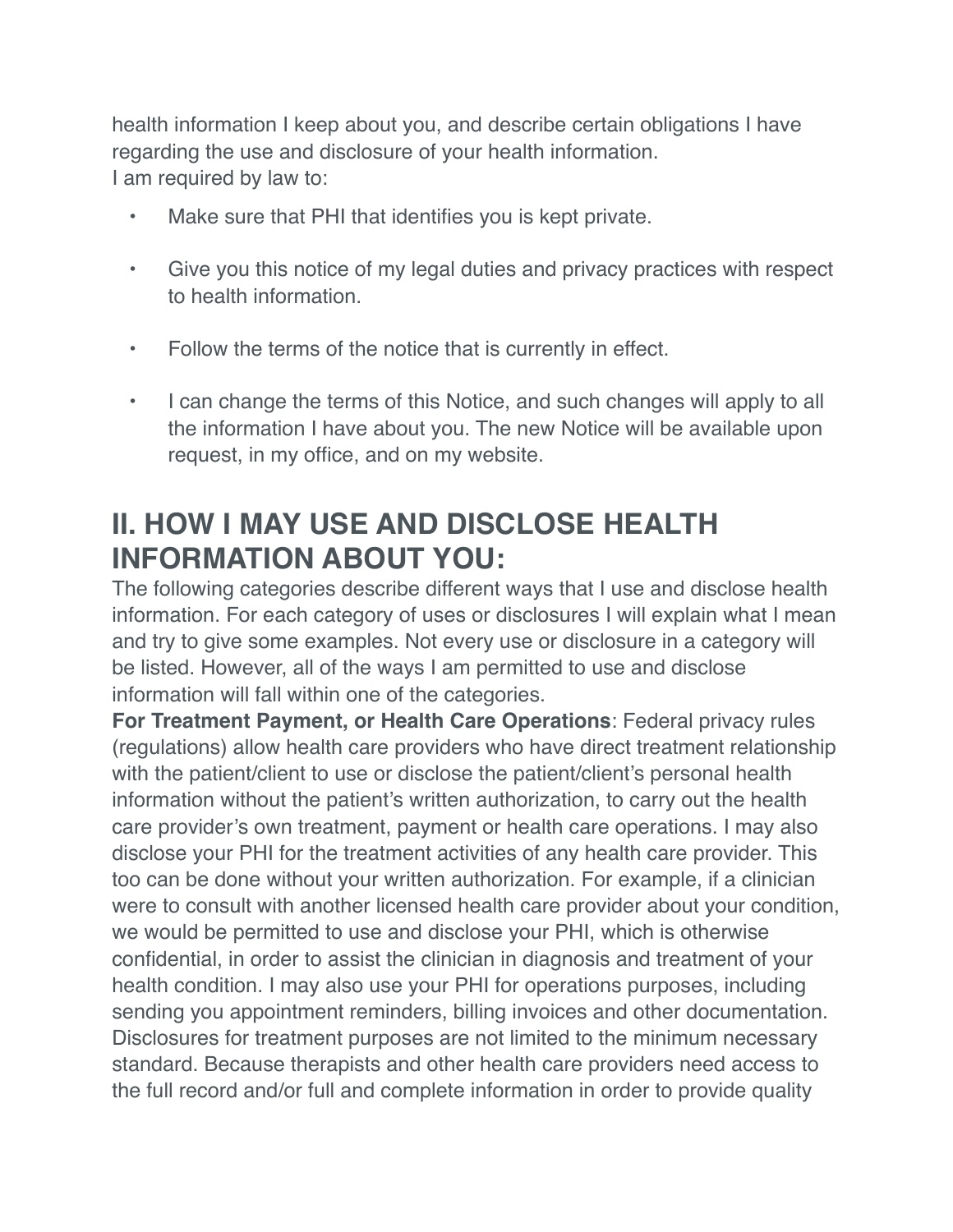health information I keep about you, and describe certain obligations I have regarding the use and disclosure of your health information. I am required by law to:

- Make sure that PHI that identifies you is kept private.
- Give you this notice of my legal duties and privacy practices with respect to health information.
- Follow the terms of the notice that is currently in effect.
- I can change the terms of this Notice, and such changes will apply to all the information I have about you. The new Notice will be available upon request, in my office, and on my website.

# **II. HOW I MAY USE AND DISCLOSE HEALTH INFORMATION ABOUT YOU:**

The following categories describe different ways that I use and disclose health information. For each category of uses or disclosures I will explain what I mean and try to give some examples. Not every use or disclosure in a category will be listed. However, all of the ways I am permitted to use and disclose information will fall within one of the categories.

**For Treatment Payment, or Health Care Operations**: Federal privacy rules (regulations) allow health care providers who have direct treatment relationship with the patient/client to use or disclose the patient/client's personal health information without the patient's written authorization, to carry out the health care provider's own treatment, payment or health care operations. I may also disclose your PHI for the treatment activities of any health care provider. This too can be done without your written authorization. For example, if a clinician were to consult with another licensed health care provider about your condition, we would be permitted to use and disclose your PHI, which is otherwise confidential, in order to assist the clinician in diagnosis and treatment of your health condition. I may also use your PHI for operations purposes, including sending you appointment reminders, billing invoices and other documentation. Disclosures for treatment purposes are not limited to the minimum necessary standard. Because therapists and other health care providers need access to the full record and/or full and complete information in order to provide quality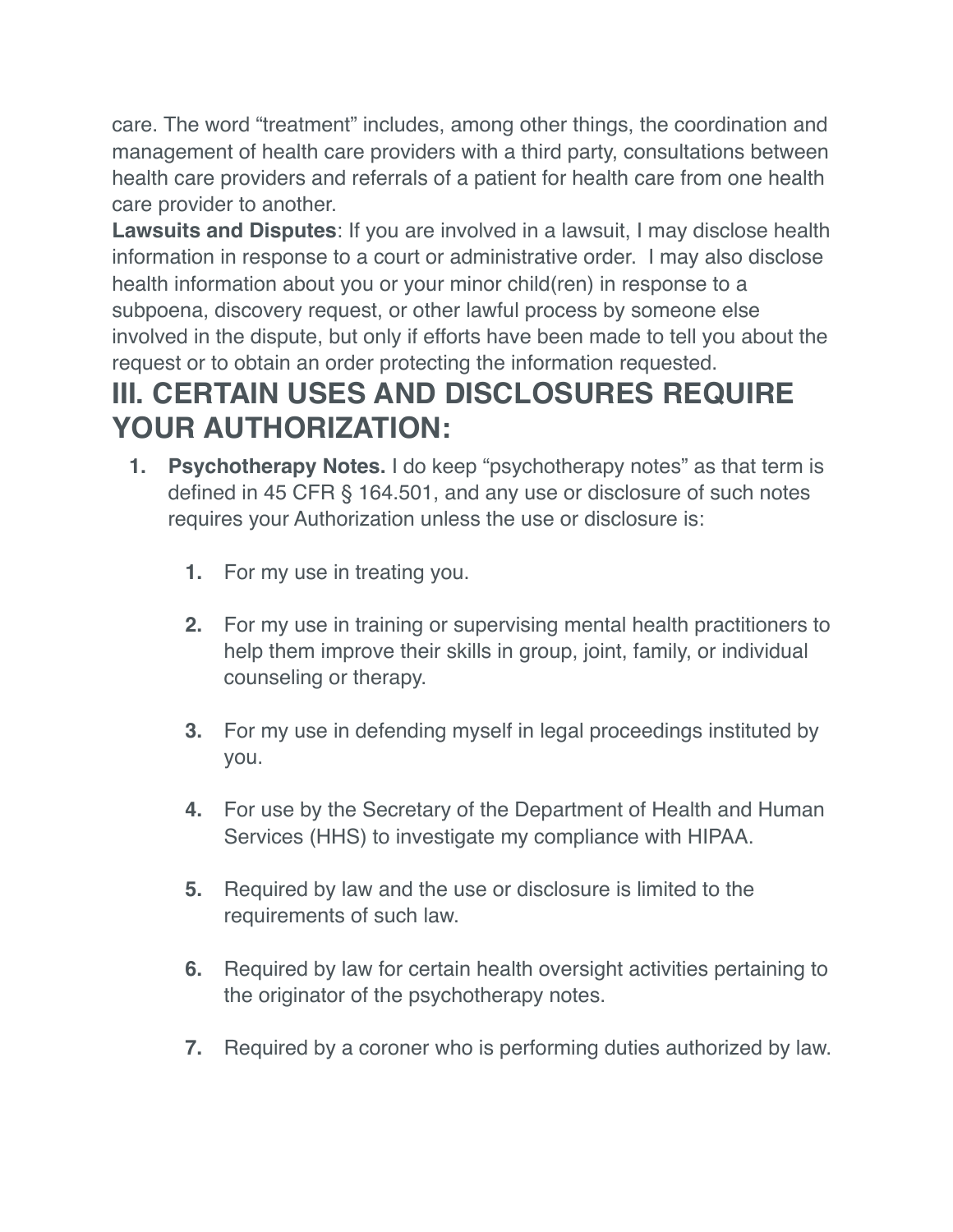care. The word "treatment" includes, among other things, the coordination and management of health care providers with a third party, consultations between health care providers and referrals of a patient for health care from one health care provider to another.

**Lawsuits and Disputes**: If you are involved in a lawsuit, I may disclose health information in response to a court or administrative order. I may also disclose health information about you or your minor child(ren) in response to a subpoena, discovery request, or other lawful process by someone else involved in the dispute, but only if efforts have been made to tell you about the request or to obtain an order protecting the information requested.

# **III. CERTAIN USES AND DISCLOSURES REQUIRE YOUR AUTHORIZATION:**

- **1. Psychotherapy Notes.** I do keep "psychotherapy notes" as that term is defined in 45 CFR § 164.501, and any use or disclosure of such notes requires your Authorization unless the use or disclosure is:
	- **1.** For my use in treating you.
	- **2.** For my use in training or supervising mental health practitioners to help them improve their skills in group, joint, family, or individual counseling or therapy.
	- **3.** For my use in defending myself in legal proceedings instituted by you.
	- **4.** For use by the Secretary of the Department of Health and Human Services (HHS) to investigate my compliance with HIPAA.
	- **5.** Required by law and the use or disclosure is limited to the requirements of such law.
	- **6.** Required by law for certain health oversight activities pertaining to the originator of the psychotherapy notes.
	- **7.** Required by a coroner who is performing duties authorized by law.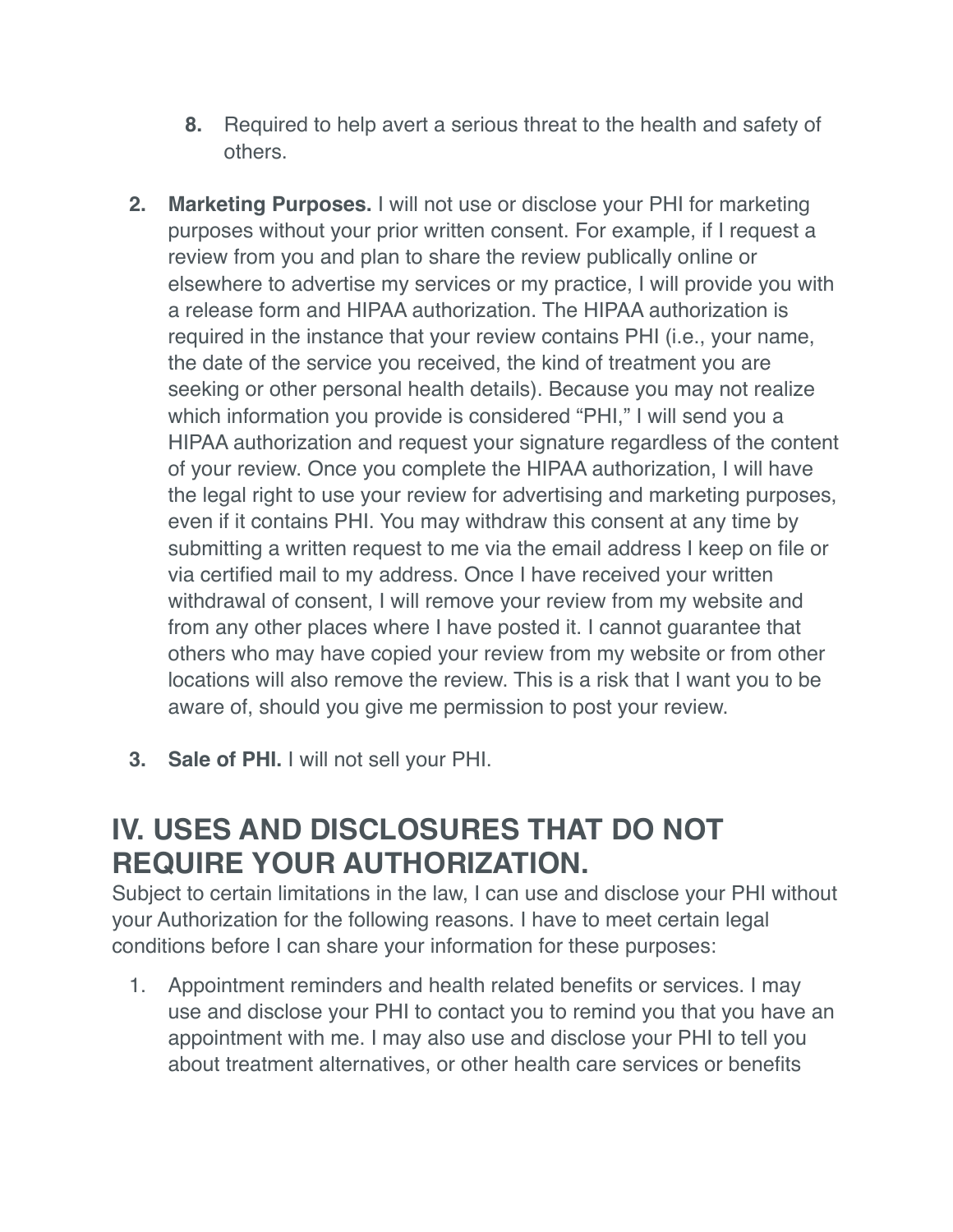- **8.** Required to help avert a serious threat to the health and safety of others.
- **2. Marketing Purposes.** I will not use or disclose your PHI for marketing purposes without your prior written consent. For example, if I request a review from you and plan to share the review publically online or elsewhere to advertise my services or my practice, I will provide you with a release form and HIPAA authorization. The HIPAA authorization is required in the instance that your review contains PHI (i.e., your name, the date of the service you received, the kind of treatment you are seeking or other personal health details). Because you may not realize which information you provide is considered "PHI," I will send you a HIPAA authorization and request your signature regardless of the content of your review. Once you complete the HIPAA authorization, I will have the legal right to use your review for advertising and marketing purposes, even if it contains PHI. You may withdraw this consent at any time by submitting a written request to me via the email address I keep on file or via certified mail to my address. Once I have received your written withdrawal of consent, I will remove your review from my website and from any other places where I have posted it. I cannot guarantee that others who may have copied your review from my website or from other locations will also remove the review. This is a risk that I want you to be aware of, should you give me permission to post your review.
- **3. Sale of PHI.** I will not sell your PHI.

#### **IV. USES AND DISCLOSURES THAT DO NOT REQUIRE YOUR AUTHORIZATION.**

Subject to certain limitations in the law, I can use and disclose your PHI without your Authorization for the following reasons. I have to meet certain legal conditions before I can share your information for these purposes:

1. Appointment reminders and health related benefits or services. I may use and disclose your PHI to contact you to remind you that you have an appointment with me. I may also use and disclose your PHI to tell you about treatment alternatives, or other health care services or benefits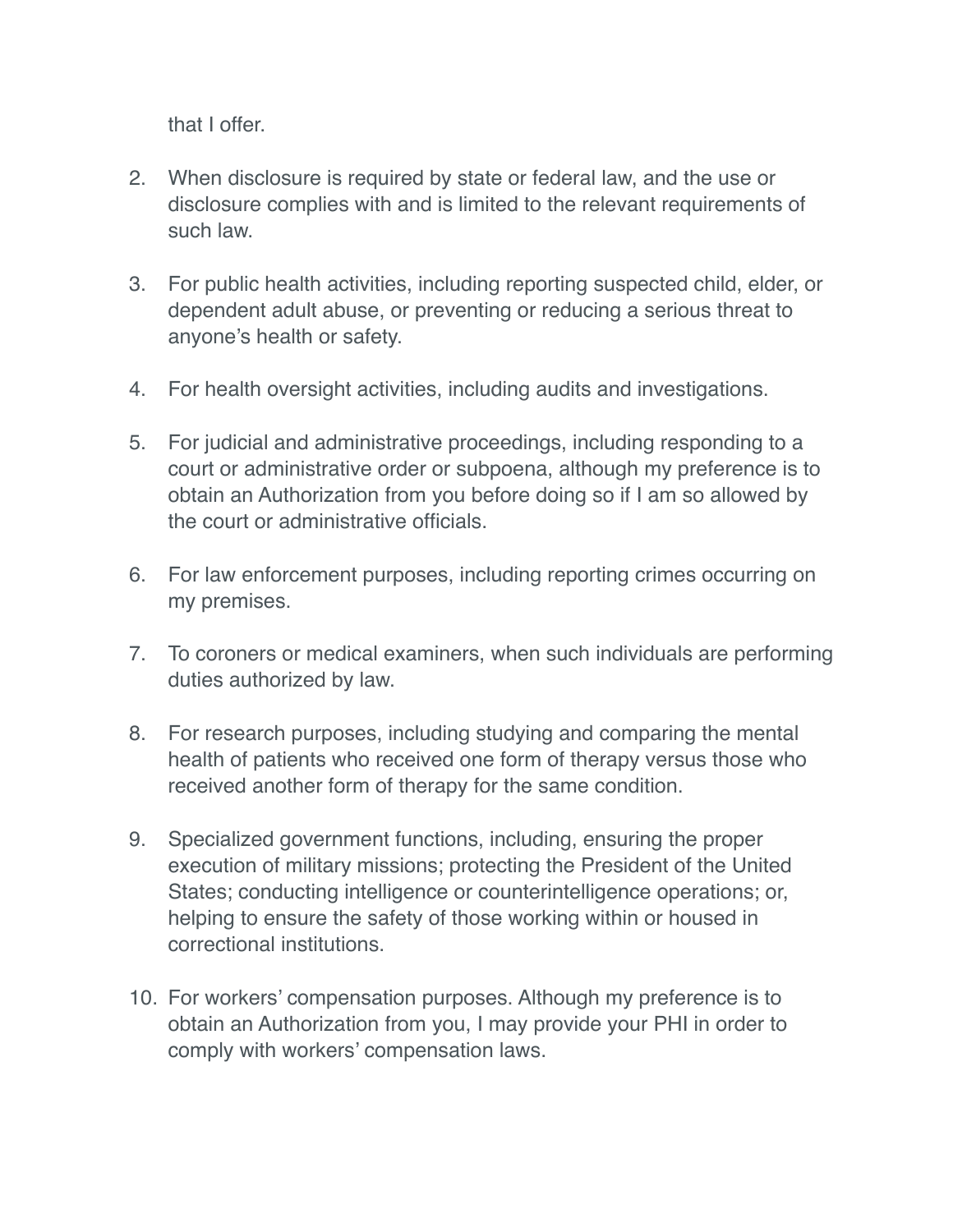that I offer.

- 2. When disclosure is required by state or federal law, and the use or disclosure complies with and is limited to the relevant requirements of such law.
- 3. For public health activities, including reporting suspected child, elder, or dependent adult abuse, or preventing or reducing a serious threat to anyone's health or safety.
- 4. For health oversight activities, including audits and investigations.
- 5. For judicial and administrative proceedings, including responding to a court or administrative order or subpoena, although my preference is to obtain an Authorization from you before doing so if I am so allowed by the court or administrative officials.
- 6. For law enforcement purposes, including reporting crimes occurring on my premises.
- 7. To coroners or medical examiners, when such individuals are performing duties authorized by law.
- 8. For research purposes, including studying and comparing the mental health of patients who received one form of therapy versus those who received another form of therapy for the same condition.
- 9. Specialized government functions, including, ensuring the proper execution of military missions; protecting the President of the United States; conducting intelligence or counterintelligence operations; or, helping to ensure the safety of those working within or housed in correctional institutions.
- 10. For workers' compensation purposes. Although my preference is to obtain an Authorization from you, I may provide your PHI in order to comply with workers' compensation laws.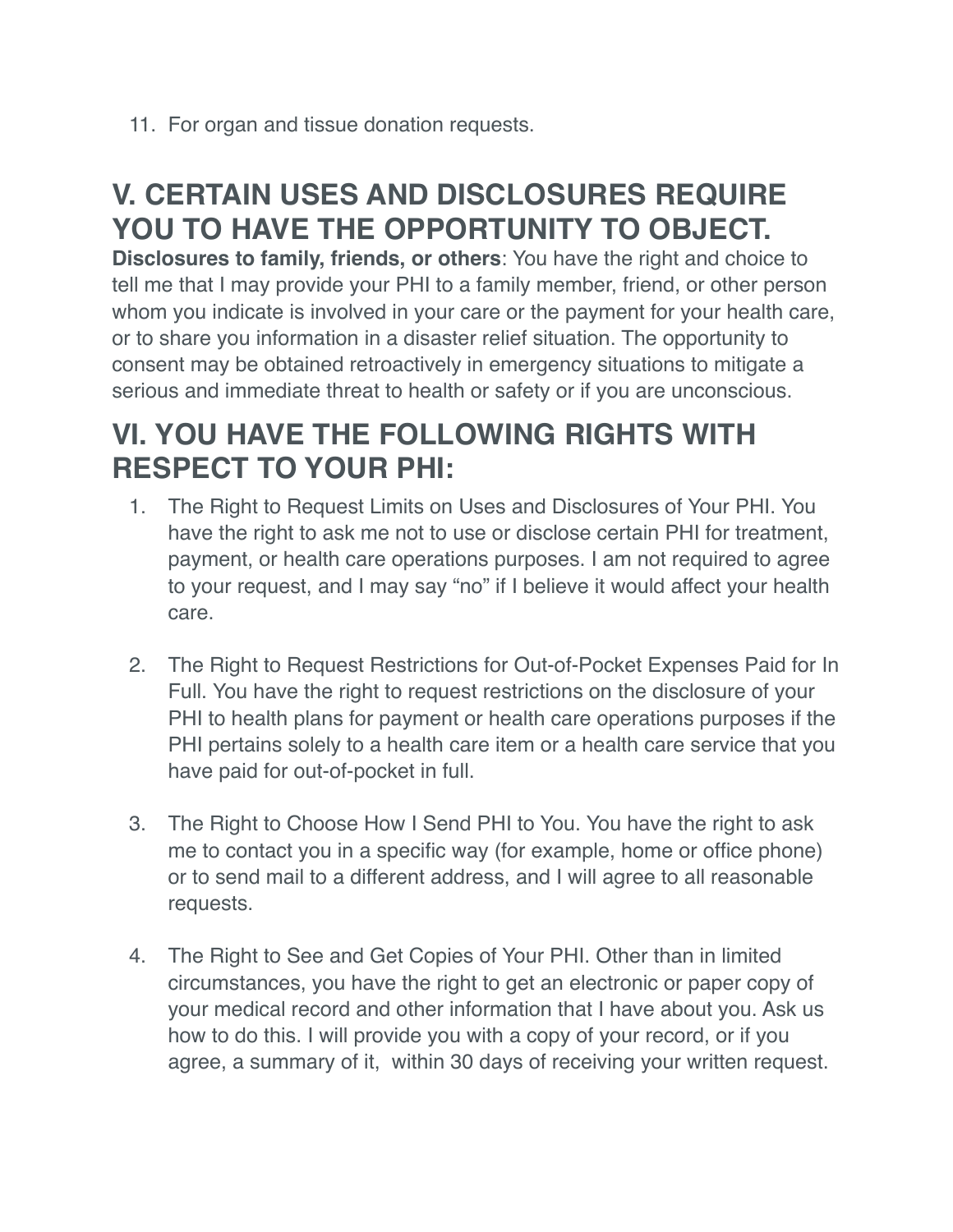11. For organ and tissue donation requests.

# **V. CERTAIN USES AND DISCLOSURES REQUIRE YOU TO HAVE THE OPPORTUNITY TO OBJECT.**

**Disclosures to family, friends, or others**: You have the right and choice to tell me that I may provide your PHI to a family member, friend, or other person whom you indicate is involved in your care or the payment for your health care, or to share you information in a disaster relief situation. The opportunity to consent may be obtained retroactively in emergency situations to mitigate a serious and immediate threat to health or safety or if you are unconscious.

### **VI. YOU HAVE THE FOLLOWING RIGHTS WITH RESPECT TO YOUR PHI:**

- 1. The Right to Request Limits on Uses and Disclosures of Your PHI. You have the right to ask me not to use or disclose certain PHI for treatment, payment, or health care operations purposes. I am not required to agree to your request, and I may say "no" if I believe it would affect your health care.
- 2. The Right to Request Restrictions for Out-of-Pocket Expenses Paid for In Full. You have the right to request restrictions on the disclosure of your PHI to health plans for payment or health care operations purposes if the PHI pertains solely to a health care item or a health care service that you have paid for out-of-pocket in full.
- 3. The Right to Choose How I Send PHI to You. You have the right to ask me to contact you in a specific way (for example, home or office phone) or to send mail to a different address, and I will agree to all reasonable requests.
- 4. The Right to See and Get Copies of Your PHI. Other than in limited circumstances, you have the right to get an electronic or paper copy of your medical record and other information that I have about you. Ask us how to do this. I will provide you with a copy of your record, or if you agree, a summary of it, within 30 days of receiving your written request.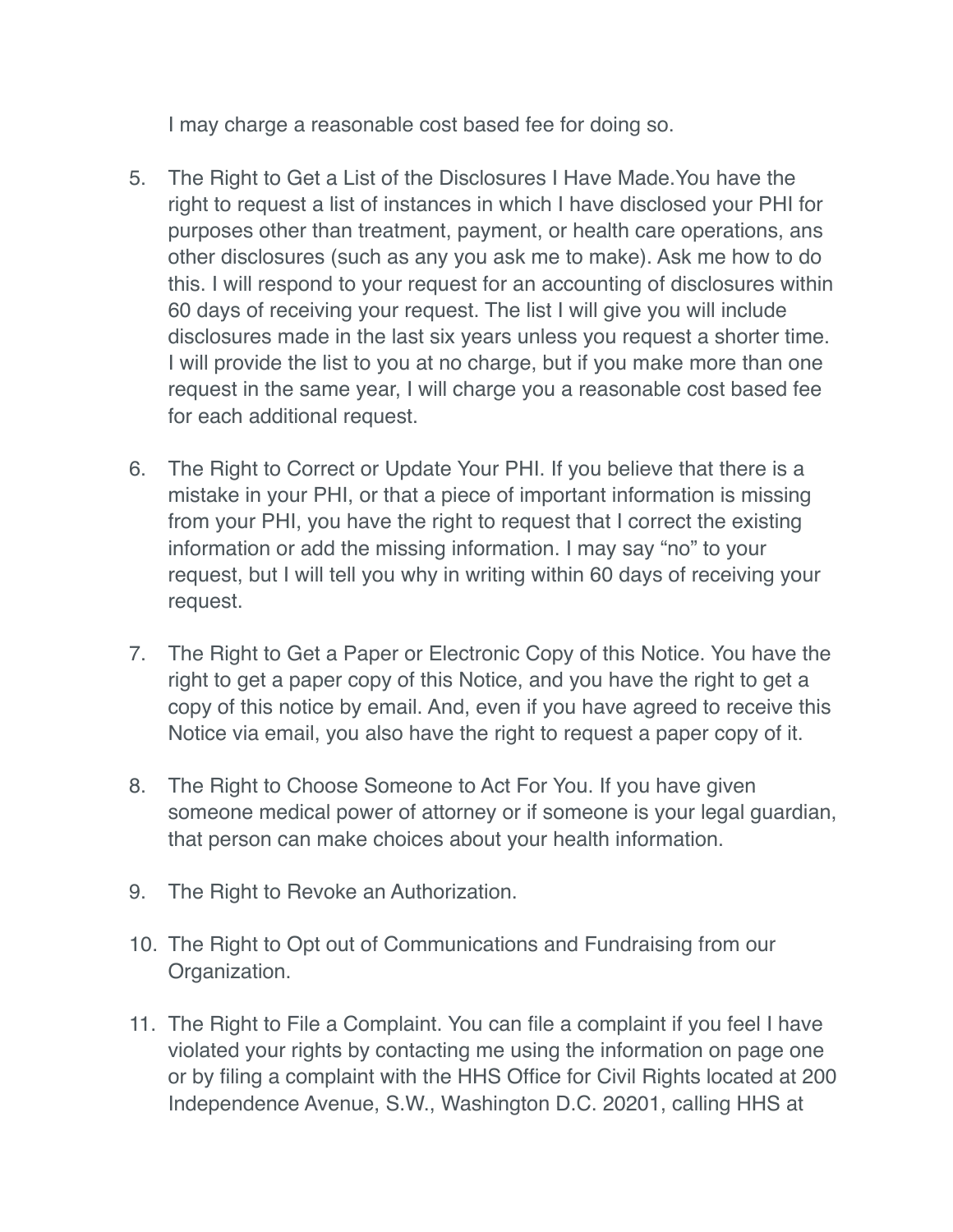I may charge a reasonable cost based fee for doing so.

- 5. The Right to Get a List of the Disclosures I Have Made.You have the right to request a list of instances in which I have disclosed your PHI for purposes other than treatment, payment, or health care operations, ans other disclosures (such as any you ask me to make). Ask me how to do this. I will respond to your request for an accounting of disclosures within 60 days of receiving your request. The list I will give you will include disclosures made in the last six years unless you request a shorter time. I will provide the list to you at no charge, but if you make more than one request in the same year, I will charge you a reasonable cost based fee for each additional request.
- 6. The Right to Correct or Update Your PHI. If you believe that there is a mistake in your PHI, or that a piece of important information is missing from your PHI, you have the right to request that I correct the existing information or add the missing information. I may say "no" to your request, but I will tell you why in writing within 60 days of receiving your request.
- 7. The Right to Get a Paper or Electronic Copy of this Notice. You have the right to get a paper copy of this Notice, and you have the right to get a copy of this notice by email. And, even if you have agreed to receive this Notice via email, you also have the right to request a paper copy of it.
- 8. The Right to Choose Someone to Act For You. If you have given someone medical power of attorney or if someone is your legal guardian, that person can make choices about your health information.
- 9. The Right to Revoke an Authorization.
- 10. The Right to Opt out of Communications and Fundraising from our Organization.
- 11. The Right to File a Complaint. You can file a complaint if you feel I have violated your rights by contacting me using the information on page one or by filing a complaint with the HHS Office for Civil Rights located at 200 Independence Avenue, S.W., Washington D.C. 20201, calling HHS at